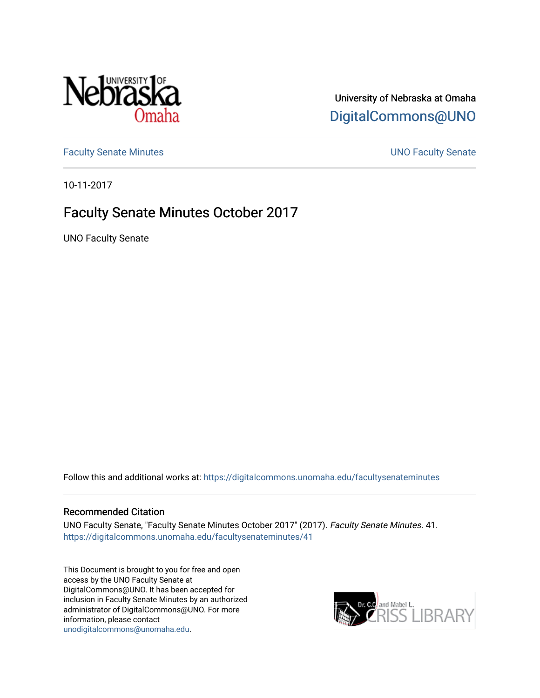

# University of Nebraska at Omaha [DigitalCommons@UNO](https://digitalcommons.unomaha.edu/)

[Faculty Senate Minutes](https://digitalcommons.unomaha.edu/facultysenateminutes) **Example 2018** UNO Faculty Senate

10-11-2017

# Faculty Senate Minutes October 2017

UNO Faculty Senate

Follow this and additional works at: [https://digitalcommons.unomaha.edu/facultysenateminutes](https://digitalcommons.unomaha.edu/facultysenateminutes?utm_source=digitalcommons.unomaha.edu%2Ffacultysenateminutes%2F41&utm_medium=PDF&utm_campaign=PDFCoverPages) 

#### Recommended Citation

UNO Faculty Senate, "Faculty Senate Minutes October 2017" (2017). Faculty Senate Minutes. 41. [https://digitalcommons.unomaha.edu/facultysenateminutes/41](https://digitalcommons.unomaha.edu/facultysenateminutes/41?utm_source=digitalcommons.unomaha.edu%2Ffacultysenateminutes%2F41&utm_medium=PDF&utm_campaign=PDFCoverPages) 

This Document is brought to you for free and open access by the UNO Faculty Senate at DigitalCommons@UNO. It has been accepted for inclusion in Faculty Senate Minutes by an authorized administrator of DigitalCommons@UNO. For more information, please contact [unodigitalcommons@unomaha.edu.](mailto:unodigitalcommons@unomaha.edu)

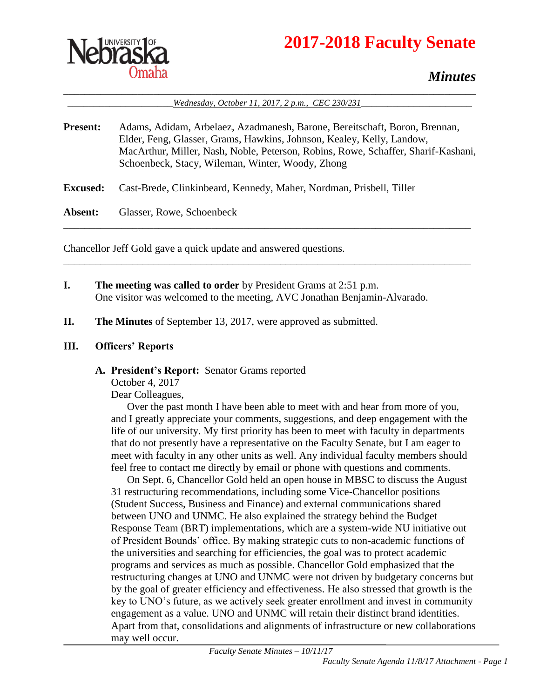



# *Minutes*

\_\_\_\_\_\_\_\_\_\_\_\_\_\_\_\_\_\_\_\_\_\_\_\_\_\_\_\_\_\_\_\_\_\_\_\_\_\_\_\_\_\_\_\_\_\_\_\_\_\_\_\_\_\_\_\_\_\_\_\_\_\_\_\_\_\_\_\_\_\_\_\_\_\_\_\_\_\_ \_\_\_\_\_\_\_\_\_\_\_\_\_\_\_\_\_\_\_\_*Wednesday, October 11, 2017, 2 p.m., CEC 230/231*\_\_\_\_\_\_\_\_\_\_\_\_\_\_\_\_\_\_\_\_\_

**Present:** Adams, Adidam, Arbelaez, Azadmanesh, Barone, Bereitschaft, Boron, Brennan, Elder, Feng, Glasser, Grams, Hawkins, Johnson, Kealey, Kelly, Landow, MacArthur, Miller, Nash, Noble, Peterson, Robins, Rowe, Schaffer, Sharif-Kashani, Schoenbeck, Stacy, Wileman, Winter, Woody, Zhong

\_\_\_\_\_\_\_\_\_\_\_\_\_\_\_\_\_\_\_\_\_\_\_\_\_\_\_\_\_\_\_\_\_\_\_\_\_\_\_\_\_\_\_\_\_\_\_\_\_\_\_\_\_\_\_\_\_\_\_\_\_\_\_\_\_\_\_\_\_\_\_\_\_\_\_\_\_

\_\_\_\_\_\_\_\_\_\_\_\_\_\_\_\_\_\_\_\_\_\_\_\_\_\_\_\_\_\_\_\_\_\_\_\_\_\_\_\_\_\_\_\_\_\_\_\_\_\_\_\_\_\_\_\_\_\_\_\_\_\_\_\_\_\_\_\_\_\_\_\_\_\_\_\_\_

**Excused:** Cast-Brede, Clinkinbeard, Kennedy, Maher, Nordman, Prisbell, Tiller

**Absent:** Glasser, Rowe, Schoenbeck

Chancellor Jeff Gold gave a quick update and answered questions.

- **I. The meeting was called to order** by President Grams at 2:51 p.m. One visitor was welcomed to the meeting, AVC Jonathan Benjamin-Alvarado.
- **II. The Minutes** of September 13, 2017, were approved as submitted.

#### **III. Officers' Reports**

#### **A. President's Report:** Senator Grams reported

October 4, 2017 Dear Colleagues,

Over the past month I have been able to meet with and hear from more of you, and I greatly appreciate your comments, suggestions, and deep engagement with the life of our university. My first priority has been to meet with faculty in departments that do not presently have a representative on the Faculty Senate, but I am eager to meet with faculty in any other units as well. Any individual faculty members should feel free to contact me directly by email or phone with questions and comments.

On Sept. 6, Chancellor Gold held an open house in MBSC to discuss the August 31 restructuring recommendations, including some Vice-Chancellor positions (Student Success, Business and Finance) and external communications shared between UNO and UNMC. He also explained the strategy behind the Budget Response Team (BRT) implementations, which are a system-wide NU initiative out of President Bounds' office. By making strategic cuts to non-academic functions of the universities and searching for efficiencies, the goal was to protect academic programs and services as much as possible. Chancellor Gold emphasized that the restructuring changes at UNO and UNMC were not driven by budgetary concerns but by the goal of greater efficiency and effectiveness. He also stressed that growth is the key to UNO's future, as we actively seek greater enrollment and invest in community engagement as a value. UNO and UNMC will retain their distinct brand identities. Apart from that, consolidations and alignments of infrastructure or new collaborations may well occur.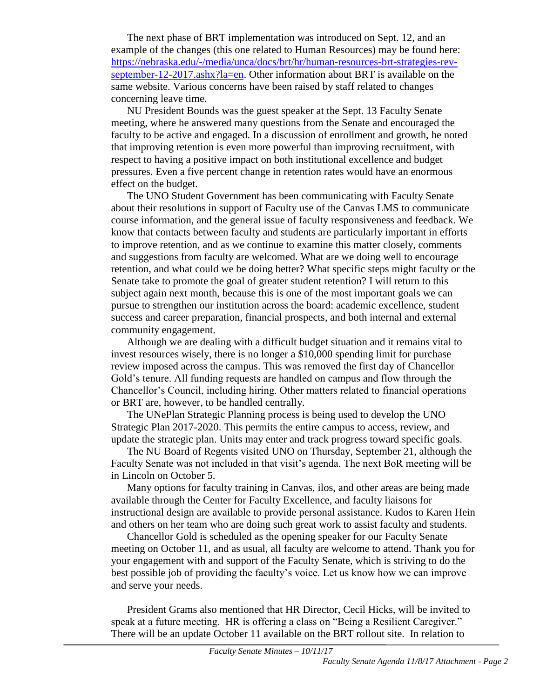The next phase of BRT implementation was introduced on Sept. 12, and an example of the changes (this one related to Human Resources) may be found here: [https://nebraska.edu/-/media/unca/docs/brt/hr/human-resources-brt-strategies-rev](https://nebraska.edu/-/media/unca/docs/brt/hr/human-resources-brt-strategies-rev-september-12-2017.ashx?la=en)[september-12-2017.ashx?la=en.](https://nebraska.edu/-/media/unca/docs/brt/hr/human-resources-brt-strategies-rev-september-12-2017.ashx?la=en) Other information about BRT is available on the same website. Various concerns have been raised by staff related to changes concerning leave time.

NU President Bounds was the guest speaker at the Sept. 13 Faculty Senate meeting, where he answered many questions from the Senate and encouraged the faculty to be active and engaged. In a discussion of enrollment and growth, he noted that improving retention is even more powerful than improving recruitment, with respect to having a positive impact on both institutional excellence and budget pressures. Even a five percent change in retention rates would have an enormous effect on the budget.

The UNO Student Government has been communicating with Faculty Senate about their resolutions in support of Faculty use of the Canvas LMS to communicate course information, and the general issue of faculty responsiveness and feedback. We know that contacts between faculty and students are particularly important in efforts to improve retention, and as we continue to examine this matter closely, comments and suggestions from faculty are welcomed. What are we doing well to encourage retention, and what could we be doing better? What specific steps might faculty or the Senate take to promote the goal of greater student retention? I will return to this subject again next month, because this is one of the most important goals we can pursue to strengthen our institution across the board: academic excellence, student success and career preparation, financial prospects, and both internal and external community engagement.

Although we are dealing with a difficult budget situation and it remains vital to invest resources wisely, there is no longer a \$10,000 spending limit for purchase review imposed across the campus. This was removed the first day of Chancellor Gold's tenure. All funding requests are handled on campus and flow through the Chancellor's Council, including hiring. Other matters related to financial operations or BRT are, however, to be handled centrally.

The UNePlan Strategic Planning process is being used to develop the UNO Strategic Plan 2017-2020. This permits the entire campus to access, review, and update the strategic plan. Units may enter and track progress toward specific goals.

The NU Board of Regents visited UNO on Thursday, September 21, although the Faculty Senate was not included in that visit's agenda. The next BoR meeting will be in Lincoln on October 5.

Many options for faculty training in Canvas, ilos, and other areas are being made available through the Center for Faculty Excellence, and faculty liaisons for instructional design are available to provide personal assistance. Kudos to Karen Hein and others on her team who are doing such great work to assist faculty and students.

Chancellor Gold is scheduled as the opening speaker for our Faculty Senate meeting on October 11, and as usual, all faculty are welcome to attend. Thank you for your engagement with and support of the Faculty Senate, which is striving to do the best possible job of providing the faculty's voice. Let us know how we can improve and serve your needs.

President Grams also mentioned that HR Director, Cecil Hicks, will be invited to speak at a future meeting. HR is offering a class on "Being a Resilient Caregiver." There will be an update October 11 available on the BRT rollout site. In relation to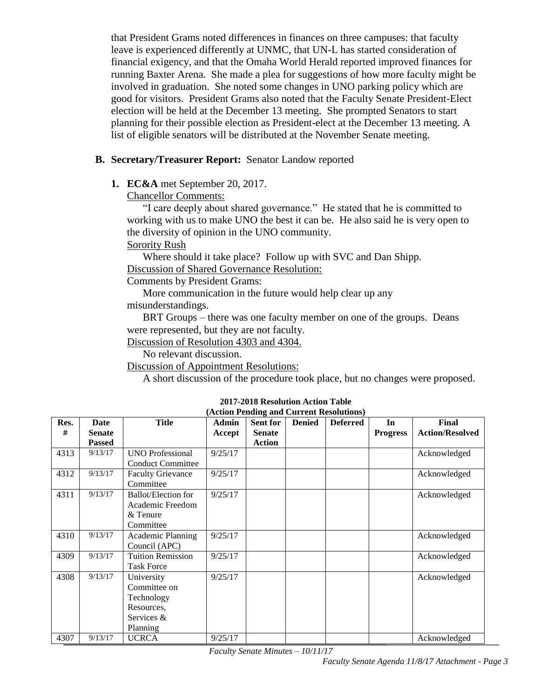that President Grams noted differences in finances on three campuses: that faculty leave is experienced differently at UNMC, that UN-L has started consideration of financial exigency, and that the Omaha World Herald reported improved finances for running Baxter Arena. She made a plea for suggestions of how more faculty might be involved in graduation. She noted some changes in UNO parking policy which are good for visitors. President Grams also noted that the Faculty Senate President-Elect election will be held at the December 13 meeting. She prompted Senators to start planning for their possible election as President-elect at the December 13 meeting. A list of eligible senators will be distributed at the November Senate meeting.

#### **B. Secretary/Treasurer Report:** Senator Landow reported

**1. EC&A** met September 20, 2017.

Chancellor Comments:

"I care deeply about shared governance." He stated that he is committed to working with us to make UNO the best it can be. He also said he is very open to the diversity of opinion in the UNO community. Sorority Rush

Where should it take place? Follow up with SVC and Dan Shipp. Discussion of Shared Governance Resolution:

Comments by President Grams:

More communication in the future would help clear up any misunderstandings.

BRT Groups – there was one faculty member on one of the groups. Deans were represented, but they are not faculty.

Discussion of Resolution 4303 and 4304.

No relevant discussion.

Discussion of Appointment Resolutions:

A short discussion of the procedure took place, but no changes were proposed.

|      | (Action Pending and Current Resolutions) |                            |              |               |               |                 |                 |                        |
|------|------------------------------------------|----------------------------|--------------|---------------|---------------|-----------------|-----------------|------------------------|
| Res. | Date                                     | <b>Title</b>               | <b>Admin</b> | Sent for      | <b>Denied</b> | <b>Deferred</b> | In              | Final                  |
| #    | <b>Senate</b>                            |                            | Accept       | <b>Senate</b> |               |                 | <b>Progress</b> | <b>Action/Resolved</b> |
|      | <b>Passed</b>                            |                            |              | <b>Action</b> |               |                 |                 |                        |
| 4313 | 9/13/17                                  | <b>UNO Professional</b>    | 9/25/17      |               |               |                 |                 | Acknowledged           |
|      |                                          | <b>Conduct Committee</b>   |              |               |               |                 |                 |                        |
| 4312 | 9/13/17                                  | <b>Faculty Grievance</b>   | 9/25/17      |               |               |                 |                 | Acknowledged           |
|      |                                          | Committee                  |              |               |               |                 |                 |                        |
| 4311 | 9/13/17                                  | <b>Ballot/Election for</b> | 9/25/17      |               |               |                 |                 | Acknowledged           |
|      |                                          | Academic Freedom           |              |               |               |                 |                 |                        |
|      |                                          | & Tenure                   |              |               |               |                 |                 |                        |
|      |                                          | Committee                  |              |               |               |                 |                 |                        |
| 4310 | 9/13/17                                  | Academic Planning          | 9/25/17      |               |               |                 |                 | Acknowledged           |
|      |                                          | Council (APC)              |              |               |               |                 |                 |                        |
| 4309 | 9/13/17                                  | <b>Tuition Remission</b>   | 9/25/17      |               |               |                 |                 | Acknowledged           |
|      |                                          | <b>Task Force</b>          |              |               |               |                 |                 |                        |
| 4308 | 9/13/17                                  | University                 | 9/25/17      |               |               |                 |                 | Acknowledged           |
|      |                                          | Committee on               |              |               |               |                 |                 |                        |
|      |                                          | Technology                 |              |               |               |                 |                 |                        |
|      |                                          | Resources,                 |              |               |               |                 |                 |                        |
|      |                                          | Services &                 |              |               |               |                 |                 |                        |
|      |                                          | Planning                   |              |               |               |                 |                 |                        |
| 4307 | 9/13/17                                  | <b>UCRCA</b>               | 9/25/17      |               |               |                 |                 | Acknowledged           |

**2017-2018 Resolution Action Table**

*Faculty Senate Minutes – 10/11/17*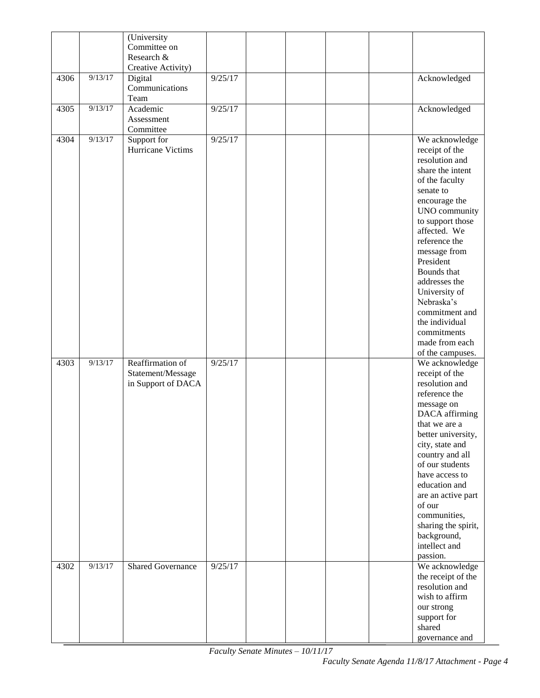|      |         | (University<br>Committee on<br>Research &                   |         |  |  |                                                                                                                                                                                                                                                                                                                                                                                   |
|------|---------|-------------------------------------------------------------|---------|--|--|-----------------------------------------------------------------------------------------------------------------------------------------------------------------------------------------------------------------------------------------------------------------------------------------------------------------------------------------------------------------------------------|
| 4306 | 9/13/17 | Creative Activity)<br>Digital<br>Communications             | 9/25/17 |  |  | Acknowledged                                                                                                                                                                                                                                                                                                                                                                      |
| 4305 | 9/13/17 | Team<br>Academic<br>Assessment                              | 9/25/17 |  |  | Acknowledged                                                                                                                                                                                                                                                                                                                                                                      |
| 4304 | 9/13/17 | Committee<br>Support for<br>Hurricane Victims               | 9/25/17 |  |  | We acknowledge<br>receipt of the<br>resolution and<br>share the intent<br>of the faculty<br>senate to<br>encourage the<br>UNO community<br>to support those<br>affected. We<br>reference the<br>message from<br>President<br>Bounds that<br>addresses the<br>University of<br>Nebraska's<br>commitment and<br>the individual<br>commitments<br>made from each<br>of the campuses. |
| 4303 | 9/13/17 | Reaffirmation of<br>Statement/Message<br>in Support of DACA | 9/25/17 |  |  | We acknowledge<br>receipt of the<br>resolution and<br>reference the<br>message on<br>DACA affirming<br>that we are a<br>better university,<br>city, state and<br>country and all<br>of our students<br>have access to<br>education and<br>are an active part<br>of our<br>communities,<br>sharing the spirit,<br>background,<br>intellect and<br>passion.                         |
| 4302 | 9/13/17 | Shared Governance                                           | 9/25/17 |  |  | We acknowledge<br>the receipt of the<br>resolution and<br>wish to affirm<br>our strong<br>support for<br>shared<br>governance and                                                                                                                                                                                                                                                 |

*Faculty Senate Minutes – 10/11/17*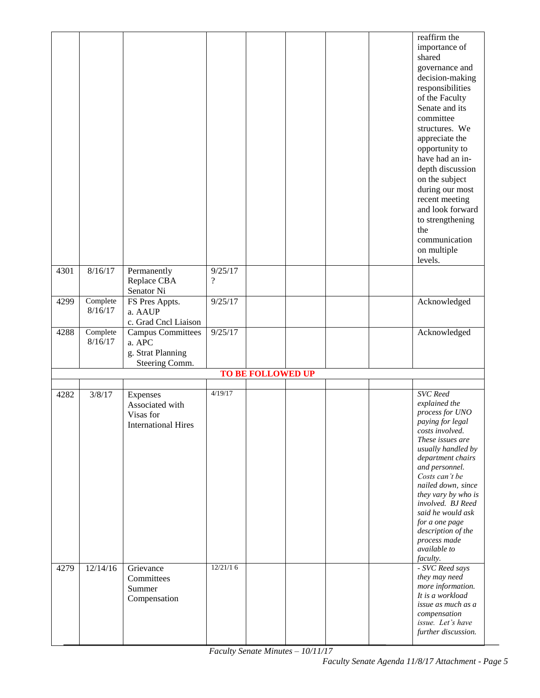| 4301 | 8/16/17                    | Permanently                                                               | 9/25/17  |                          |  | reaffirm the<br>importance of<br>shared<br>governance and<br>decision-making<br>responsibilities<br>of the Faculty<br>Senate and its<br>committee<br>structures. We<br>appreciate the<br>opportunity to<br>have had an in-<br>depth discussion<br>on the subject<br>during our most<br>recent meeting<br>and look forward<br>to strengthening<br>the<br>communication<br>on multiple<br>levels. |
|------|----------------------------|---------------------------------------------------------------------------|----------|--------------------------|--|-------------------------------------------------------------------------------------------------------------------------------------------------------------------------------------------------------------------------------------------------------------------------------------------------------------------------------------------------------------------------------------------------|
|      |                            | Replace CBA<br>Senator Ni                                                 | $\gamma$ |                          |  |                                                                                                                                                                                                                                                                                                                                                                                                 |
| 4299 | Complete<br>8/16/17        | FS Pres Appts.<br>a. AAUP<br>c. Grad Cncl Liaison                         | 9/25/17  |                          |  | Acknowledged                                                                                                                                                                                                                                                                                                                                                                                    |
| 4288 | Complete<br>8/16/17        | <b>Campus Committees</b><br>a. APC<br>g. Strat Planning<br>Steering Comm. | 9/25/17  |                          |  | Acknowledged                                                                                                                                                                                                                                                                                                                                                                                    |
|      |                            |                                                                           |          | <b>TO BE FOLLOWED UP</b> |  |                                                                                                                                                                                                                                                                                                                                                                                                 |
| 4282 | 3/8/17                     | Expenses<br>Associated with<br>Visas for<br><b>International Hires</b>    | 4/19/17  |                          |  | <b>SVC</b> Reed<br>explained the<br>process for UNO<br>paying for legal<br>costs involved.<br>These issues are<br>usually handled by<br>department chairs<br>and personnel.<br>Costs can't be<br>nailed down, since<br>they vary by who is<br>involved. BJ Reed<br>said he would ask<br>for a one page<br>description of the<br>process made<br>available to<br>faculty.                        |
| 4279 | $\frac{12}{14}{\sqrt{16}}$ | Grievance<br>Committees<br>Summer<br>Compensation                         | 12/21/16 |                          |  | - SVC Reed says<br>they may need<br>more information.<br>It is a workload<br>issue as much as a<br>compensation<br>issue. Let's have<br>further discussion.                                                                                                                                                                                                                                     |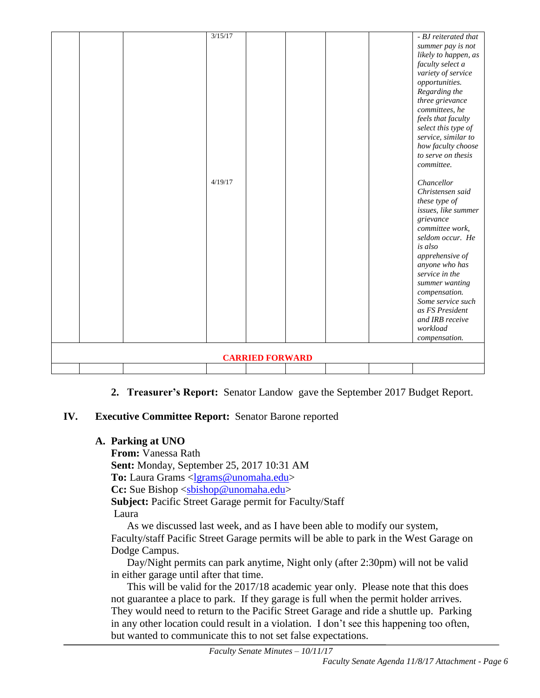|                        |  |  | 3/15/17 |  |  |  | - BJ reiterated that               |
|------------------------|--|--|---------|--|--|--|------------------------------------|
|                        |  |  |         |  |  |  | summer pay is not                  |
|                        |  |  |         |  |  |  | likely to happen, as               |
|                        |  |  |         |  |  |  | faculty select a                   |
|                        |  |  |         |  |  |  | variety of service                 |
|                        |  |  |         |  |  |  | opportunities.                     |
|                        |  |  |         |  |  |  | Regarding the                      |
|                        |  |  |         |  |  |  | three grievance                    |
|                        |  |  |         |  |  |  | committees, he                     |
|                        |  |  |         |  |  |  | feels that faculty                 |
|                        |  |  |         |  |  |  | select this type of                |
|                        |  |  |         |  |  |  | service, similar to                |
|                        |  |  |         |  |  |  | how faculty choose                 |
|                        |  |  |         |  |  |  | to serve on thesis                 |
|                        |  |  |         |  |  |  | committee.                         |
|                        |  |  |         |  |  |  |                                    |
|                        |  |  | 4/19/17 |  |  |  | Chancellor                         |
|                        |  |  |         |  |  |  | Christensen said                   |
|                        |  |  |         |  |  |  | these type of                      |
|                        |  |  |         |  |  |  | issues, like summer                |
|                        |  |  |         |  |  |  | grievance                          |
|                        |  |  |         |  |  |  | committee work,                    |
|                        |  |  |         |  |  |  | seldom occur. He                   |
|                        |  |  |         |  |  |  | is also                            |
|                        |  |  |         |  |  |  | apprehensive of                    |
|                        |  |  |         |  |  |  | anyone who has                     |
|                        |  |  |         |  |  |  | service in the                     |
|                        |  |  |         |  |  |  | summer wanting                     |
|                        |  |  |         |  |  |  | compensation.<br>Some service such |
|                        |  |  |         |  |  |  | as FS President                    |
|                        |  |  |         |  |  |  | and IRB receive                    |
|                        |  |  |         |  |  |  | workload                           |
|                        |  |  |         |  |  |  | compensation.                      |
|                        |  |  |         |  |  |  |                                    |
| <b>CARRIED FORWARD</b> |  |  |         |  |  |  |                                    |
|                        |  |  |         |  |  |  |                                    |
|                        |  |  |         |  |  |  |                                    |

### **2. Treasurer's Report:** Senator Landow gave the September 2017 Budget Report.

# **IV. Executive Committee Report:** Senator Barone reported

# **A. Parking at UNO**

**From:** Vanessa Rath **Sent:** Monday, September 25, 2017 10:31 AM To: Laura Grams [<lgrams@unomaha.edu>](mailto:lgrams@unomaha.edu) **Cc:** Sue Bishop [<sbishop@unomaha.edu>](mailto:sbishop@unomaha.edu) **Subject:** Pacific Street Garage permit for Faculty/Staff Laura

As we discussed last week, and as I have been able to modify our system, Faculty/staff Pacific Street Garage permits will be able to park in the West Garage on Dodge Campus.

Day/Night permits can park anytime, Night only (after 2:30pm) will not be valid in either garage until after that time.

This will be valid for the 2017/18 academic year only. Please note that this does not guarantee a place to park. If they garage is full when the permit holder arrives. They would need to return to the Pacific Street Garage and ride a shuttle up. Parking in any other location could result in a violation. I don't see this happening too often, but wanted to communicate this to not set false expectations.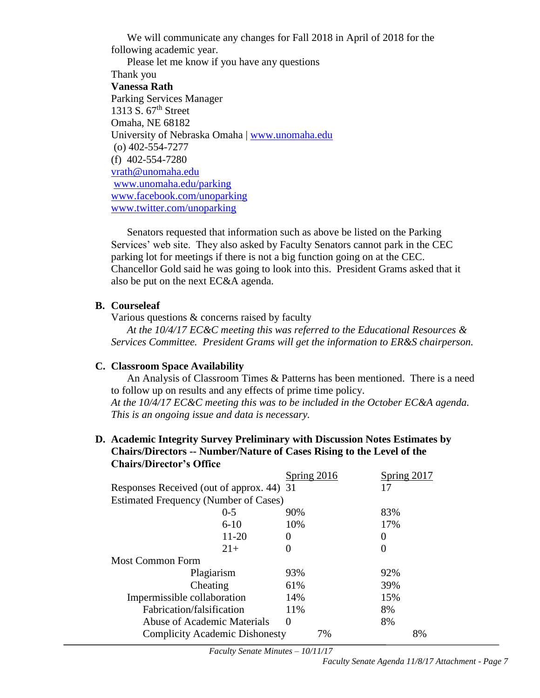We will communicate any changes for Fall 2018 in April of 2018 for the following academic year.

Please let me know if you have any questions Thank you **Vanessa Rath** Parking Services Manager 1313 S.  $67<sup>th</sup>$  Street Omaha, NE 68182 University of Nebraska Omaha | [www.unomaha.edu](http://www.unomaha.edu/) (o) 402-554-7277 (f) 402-554-7280 [vrath@unomaha.edu](mailto:vrath@unomaha.edu) [www.unomaha.edu/parking](http://www.unomaha.edu/parking) [www.facebook.com/unoparking](http://www.facebook.com/unoparking) [www.twitter.com/unoparking](http://www.twitter.com/unoparking)

Senators requested that information such as above be listed on the Parking Services' web site. They also asked by Faculty Senators cannot park in the CEC parking lot for meetings if there is not a big function going on at the CEC. Chancellor Gold said he was going to look into this. President Grams asked that it also be put on the next EC&A agenda.

#### **B. Courseleaf**

Various questions & concerns raised by faculty *At the 10/4/17 EC&C meeting this was referred to the Educational Resources & Services Committee. President Grams will get the information to ER&S chairperson.*

#### **C. Classroom Space Availability**

An Analysis of Classroom Times & Patterns has been mentioned. There is a need to follow up on results and any effects of prime time policy. *At the 10/4/17 EC&C meeting this was to be included in the October EC&A agenda. This is an ongoing issue and data is necessary.*

#### **D. Academic Integrity Survey Preliminary with Discussion Notes Estimates by Chairs/Directors -- Number/Nature of Cases Rising to the Level of the Chairs/Director's Office**

|                                              | Spring 2016 | Spring 2017 |
|----------------------------------------------|-------------|-------------|
| Responses Received (out of approx. 44) 31    |             | 17          |
| <b>Estimated Frequency (Number of Cases)</b> |             |             |
| $0 - 5$                                      | 90%         | 83%         |
| $6 - 10$                                     | 10%         | 17%         |
| 11-20                                        | 0           | 0           |
| $21+$                                        |             |             |
| <b>Most Common Form</b>                      |             |             |
| Plagiarism                                   | 93%         | 92%         |
| Cheating                                     | 61%         | 39%         |
| Impermissible collaboration                  | 14%         | 15%         |
| Fabrication/falsification                    | 11%         | 8%          |
| Abuse of Academic Materials                  | 0           | 8%          |
| <b>Complicity Academic Dishonesty</b>        | 7%          | 8%          |

*Faculty Senate Minutes – 10/11/17*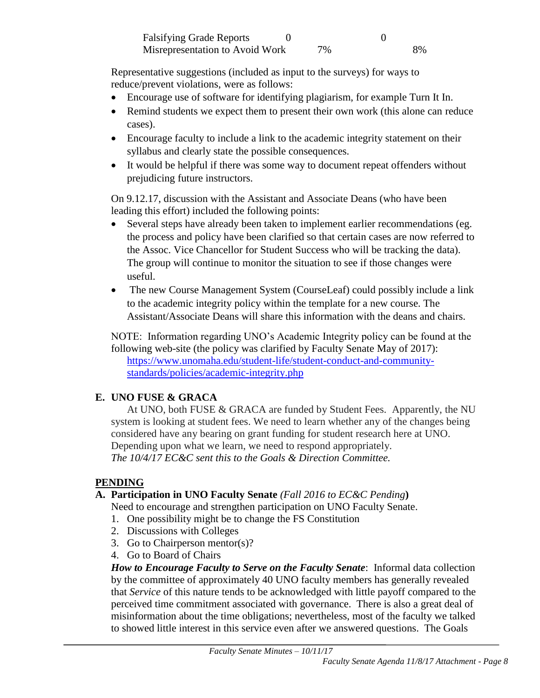| <b>Falsifying Grade Reports</b> |    |    |
|---------------------------------|----|----|
| Misrepresentation to Avoid Work | 7% | 8% |

Representative suggestions (included as input to the surveys) for ways to reduce/prevent violations, were as follows:

- Encourage use of software for identifying plagiarism, for example Turn It In.
- Remind students we expect them to present their own work (this alone can reduce cases).
- Encourage faculty to include a link to the academic integrity statement on their syllabus and clearly state the possible consequences.
- It would be helpful if there was some way to document repeat offenders without prejudicing future instructors.

On 9.12.17, discussion with the Assistant and Associate Deans (who have been leading this effort) included the following points:

- Several steps have already been taken to implement earlier recommendations (eg. the process and policy have been clarified so that certain cases are now referred to the Assoc. Vice Chancellor for Student Success who will be tracking the data). The group will continue to monitor the situation to see if those changes were useful.
- The new Course Management System (CourseLeaf) could possibly include a link to the academic integrity policy within the template for a new course. The Assistant/Associate Deans will share this information with the deans and chairs.

NOTE: Information regarding UNO's Academic Integrity policy can be found at the following web-site (the policy was clarified by Faculty Senate May of 2017): [https://www.unomaha.edu/student-life/student-conduct-and-community](https://www.unomaha.edu/student-life/student-conduct-and-community-standards/policies/academic-integrity.php)[standards/policies/academic-integrity.php](https://www.unomaha.edu/student-life/student-conduct-and-community-standards/policies/academic-integrity.php)

# **E. UNO FUSE & GRACA**

At UNO, both FUSE & GRACA are funded by Student Fees. Apparently, the NU system is looking at student fees. We need to learn whether any of the changes being considered have any bearing on grant funding for student research here at UNO. Depending upon what we learn, we need to respond appropriately. *The 10/4/17 EC&C sent this to the Goals & Direction Committee.*

# **PENDING**

# **A. Participation in UNO Faculty Senate** *(Fall 2016 to EC&C Pending***)**

Need to encourage and strengthen participation on UNO Faculty Senate.

- 1. One possibility might be to change the FS Constitution
- 2. Discussions with Colleges
- 3. Go to Chairperson mentor(s)?
- 4. Go to Board of Chairs

*How to Encourage Faculty to Serve on the Faculty Senate*: Informal data collection by the committee of approximately 40 UNO faculty members has generally revealed that *Service* of this nature tends to be acknowledged with little payoff compared to the perceived time commitment associated with governance. There is also a great deal of misinformation about the time obligations; nevertheless, most of the faculty we talked to showed little interest in this service even after we answered questions. The Goals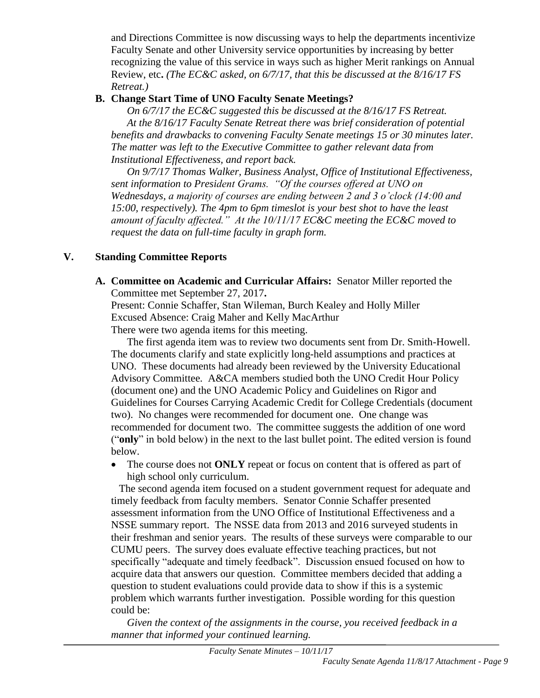and Directions Committee is now discussing ways to help the departments incentivize Faculty Senate and other University service opportunities by increasing by better recognizing the value of this service in ways such as higher Merit rankings on Annual Review, etc**.** *(The EC&C asked, on 6/7/17, that this be discussed at the 8/16/17 FS Retreat.)*

### **B. Change Start Time of UNO Faculty Senate Meetings?**

*On 6/7/17 the EC&C suggested this be discussed at the 8/16/17 FS Retreat. At the 8/16/17 Faculty Senate Retreat there was brief consideration of potential benefits and drawbacks to convening Faculty Senate meetings 15 or 30 minutes later. The matter was left to the Executive Committee to gather relevant data from Institutional Effectiveness, and report back.*

*On 9/7/17 Thomas Walker, Business Analyst, Office of Institutional Effectiveness, sent information to President Grams. "Of the courses offered at UNO on Wednesdays, a majority of courses are ending between 2 and 3 o'clock (14:00 and 15:00, respectively). The 4pm to 6pm timeslot is your best shot to have the least amount of faculty affected." At the 10/11/17 EC&C meeting the EC&C moved to request the data on full-time faculty in graph form.*

# **V. Standing Committee Reports**

**A. Committee on Academic and Curricular Affairs:** Senator Miller reported the Committee met September 27, 2017**.**

Present: Connie Schaffer, Stan Wileman, Burch Kealey and Holly Miller Excused Absence: Craig Maher and Kelly MacArthur There were two agenda items for this meeting.

The first agenda item was to review two documents sent from Dr. Smith-Howell. The documents clarify and state explicitly long-held assumptions and practices at UNO. These documents had already been reviewed by the University Educational Advisory Committee. A&CA members studied both the UNO Credit Hour Policy (document one) and the UNO Academic Policy and Guidelines on Rigor and Guidelines for Courses Carrying Academic Credit for College Credentials (document two). No changes were recommended for document one. One change was recommended for document two. The committee suggests the addition of one word ("**only**" in bold below) in the next to the last bullet point. The edited version is found below.

• The course does not **ONLY** repeat or focus on content that is offered as part of high school only curriculum.

The second agenda item focused on a student government request for adequate and timely feedback from faculty members. Senator Connie Schaffer presented assessment information from the UNO Office of Institutional Effectiveness and a NSSE summary report. The NSSE data from 2013 and 2016 surveyed students in their freshman and senior years. The results of these surveys were comparable to our CUMU peers. The survey does evaluate effective teaching practices, but not specifically "adequate and timely feedback". Discussion ensued focused on how to acquire data that answers our question. Committee members decided that adding a question to student evaluations could provide data to show if this is a systemic problem which warrants further investigation. Possible wording for this question could be:

*Given the context of the assignments in the course, you received feedback in a manner that informed your continued learning.*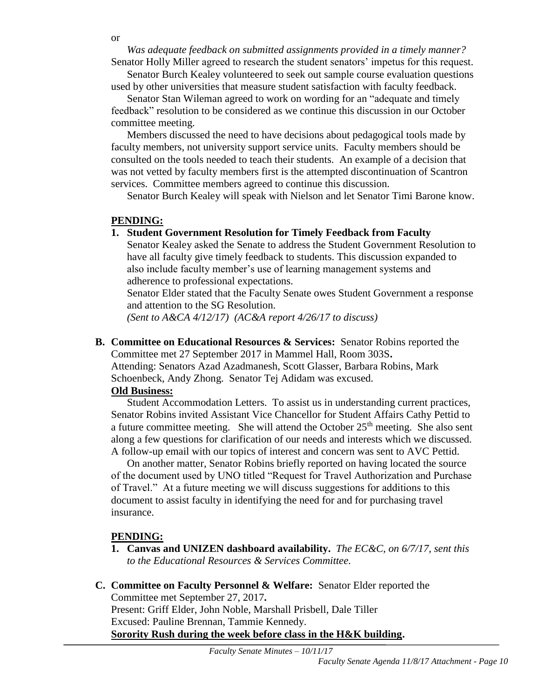or

*Was adequate feedback on submitted assignments provided in a timely manner?*

Senator Holly Miller agreed to research the student senators' impetus for this request. Senator Burch Kealey volunteered to seek out sample course evaluation questions used by other universities that measure student satisfaction with faculty feedback.

Senator Stan Wileman agreed to work on wording for an "adequate and timely feedback" resolution to be considered as we continue this discussion in our October committee meeting.

Members discussed the need to have decisions about pedagogical tools made by faculty members, not university support service units. Faculty members should be consulted on the tools needed to teach their students. An example of a decision that was not vetted by faculty members first is the attempted discontinuation of Scantron services. Committee members agreed to continue this discussion.

Senator Burch Kealey will speak with Nielson and let Senator Timi Barone know.

### **PENDING:**

### **1. Student Government Resolution for Timely Feedback from Faculty**

Senator Kealey asked the Senate to address the Student Government Resolution to have all faculty give timely feedback to students. This discussion expanded to also include faculty member's use of learning management systems and adherence to professional expectations.

Senator Elder stated that the Faculty Senate owes Student Government a response and attention to the SG Resolution.

*(Sent to A&CA 4/12/17) (AC&A report 4/26/17 to discuss)*

**B. Committee on Educational Resources & Services:** Senator Robins reported the Committee met 27 September 2017 in Mammel Hall, Room 303S**.** 

Attending: Senators Azad Azadmanesh, Scott Glasser, Barbara Robins, Mark Schoenbeck, Andy Zhong. Senator Tej Adidam was excused.

### **Old Business:**

Student Accommodation Letters. To assist us in understanding current practices, Senator Robins invited Assistant Vice Chancellor for Student Affairs Cathy Pettid to a future committee meeting. She will attend the October  $25<sup>th</sup>$  meeting. She also sent along a few questions for clarification of our needs and interests which we discussed. A follow-up email with our topics of interest and concern was sent to AVC Pettid.

On another matter, Senator Robins briefly reported on having located the source of the document used by UNO titled "Request for Travel Authorization and Purchase of Travel." At a future meeting we will discuss suggestions for additions to this document to assist faculty in identifying the need for and for purchasing travel insurance.

# **PENDING:**

- **1. Canvas and UNIZEN dashboard availability.** *The EC&C, on 6/7/17, sent this to the Educational Resources & Services Committee.*
- **C. Committee on Faculty Personnel & Welfare:** Senator Elder reported the Committee met September 27, 2017**.** Present: Griff Elder, John Noble, Marshall Prisbell, Dale Tiller

Excused: Pauline Brennan, Tammie Kennedy.

**Sorority Rush during the week before class in the H&K building.**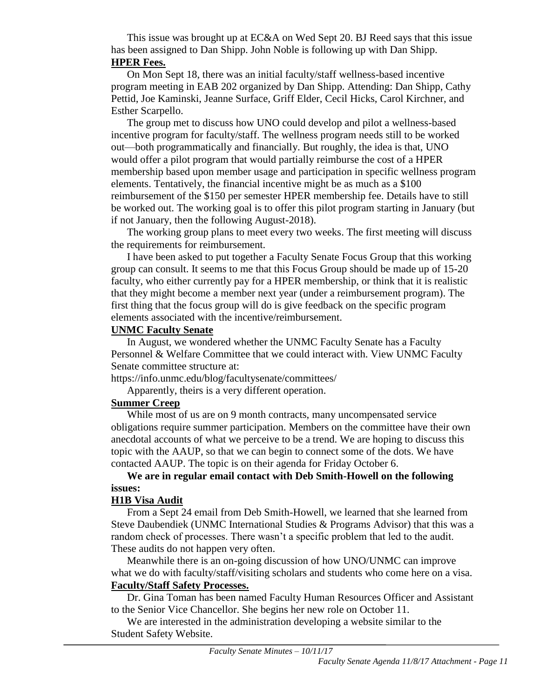This issue was brought up at EC&A on Wed Sept 20. BJ Reed says that this issue has been assigned to Dan Shipp. John Noble is following up with Dan Shipp. **HPER Fees.**

On Mon Sept 18, there was an initial faculty/staff wellness-based incentive program meeting in EAB 202 organized by Dan Shipp. Attending: Dan Shipp, Cathy Pettid, Joe Kaminski, Jeanne Surface, Griff Elder, Cecil Hicks, Carol Kirchner, and

Esther Scarpello.

The group met to discuss how UNO could develop and pilot a wellness-based incentive program for faculty/staff. The wellness program needs still to be worked out—both programmatically and financially. But roughly, the idea is that, UNO would offer a pilot program that would partially reimburse the cost of a HPER membership based upon member usage and participation in specific wellness program elements. Tentatively, the financial incentive might be as much as a \$100 reimbursement of the \$150 per semester HPER membership fee. Details have to still be worked out. The working goal is to offer this pilot program starting in January (but if not January, then the following August-2018).

The working group plans to meet every two weeks. The first meeting will discuss the requirements for reimbursement.

I have been asked to put together a Faculty Senate Focus Group that this working group can consult. It seems to me that this Focus Group should be made up of 15-20 faculty, who either currently pay for a HPER membership, or think that it is realistic that they might become a member next year (under a reimbursement program). The first thing that the focus group will do is give feedback on the specific program elements associated with the incentive/reimbursement.

#### **UNMC Faculty Senate**

In August, we wondered whether the UNMC Faculty Senate has a Faculty Personnel & Welfare Committee that we could interact with. View UNMC Faculty Senate committee structure at:

https://info.unmc.edu/blog/facultysenate/committees/

Apparently, theirs is a very different operation.

#### **Summer Creep**

While most of us are on 9 month contracts, many uncompensated service obligations require summer participation. Members on the committee have their own anecdotal accounts of what we perceive to be a trend. We are hoping to discuss this topic with the AAUP, so that we can begin to connect some of the dots. We have contacted AAUP. The topic is on their agenda for Friday October 6.

#### **We are in regular email contact with Deb Smith-Howell on the following issues:**

#### **H1B Visa Audit**

From a Sept 24 email from Deb Smith-Howell, we learned that she learned from Steve Daubendiek (UNMC International Studies & Programs Advisor) that this was a random check of processes. There wasn't a specific problem that led to the audit. These audits do not happen very often.

Meanwhile there is an on-going discussion of how UNO/UNMC can improve what we do with faculty/staff/visiting scholars and students who come here on a visa. **Faculty/Staff Safety Processes.**

Dr. Gina Toman has been named Faculty Human Resources Officer and Assistant to the Senior Vice Chancellor. She begins her new role on October 11.

We are interested in the administration developing a website similar to the Student Safety Website.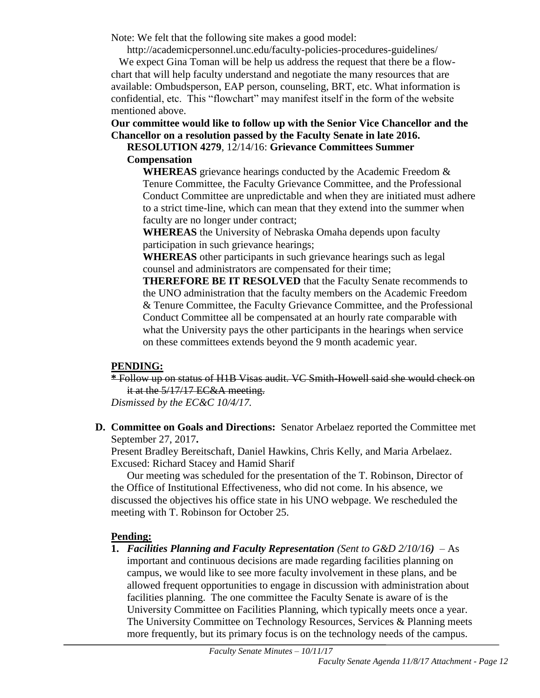Note: We felt that the following site makes a good model:

http://academicpersonnel.unc.edu/faculty-policies-procedures-guidelines/

We expect Gina Toman will be help us address the request that there be a flowchart that will help faculty understand and negotiate the many resources that are available: Ombudsperson, EAP person, counseling, BRT, etc. What information is confidential, etc. This "flowchart" may manifest itself in the form of the website mentioned above.

**Our committee would like to follow up with the Senior Vice Chancellor and the Chancellor on a resolution passed by the Faculty Senate in late 2016.**

**RESOLUTION 4279**, 12/14/16: **Grievance Committees Summer Compensation**

**WHEREAS** grievance hearings conducted by the Academic Freedom & Tenure Committee, the Faculty Grievance Committee, and the Professional Conduct Committee are unpredictable and when they are initiated must adhere to a strict time-line, which can mean that they extend into the summer when faculty are no longer under contract;

**WHEREAS** the University of Nebraska Omaha depends upon faculty participation in such grievance hearings;

**WHEREAS** other participants in such grievance hearings such as legal counsel and administrators are compensated for their time;

**THEREFORE BE IT RESOLVED** that the Faculty Senate recommends to the UNO administration that the faculty members on the Academic Freedom & Tenure Committee, the Faculty Grievance Committee, and the Professional Conduct Committee all be compensated at an hourly rate comparable with what the University pays the other participants in the hearings when service on these committees extends beyond the 9 month academic year.

### **PENDING:**

**\*** Follow up on status of H1B Visas audit. VC Smith-Howell said she would check on it at the 5/17/17 EC&A meeting.

*Dismissed by the EC&C 10/4/17.*

**D. Committee on Goals and Directions:** Senator Arbelaez reported the Committee met September 27, 2017**.**

Present Bradley Bereitschaft, Daniel Hawkins, Chris Kelly, and Maria Arbelaez. Excused: Richard Stacey and Hamid Sharif

Our meeting was scheduled for the presentation of the T. Robinson, Director of the Office of Institutional Effectiveness, who did not come. In his absence, we discussed the objectives his office state in his UNO webpage. We rescheduled the meeting with T. Robinson for October 25.

# **Pending:**

**1.** *Facilities Planning and Faculty Representation (Sent to G&D 2/10/16)*– As important and continuous decisions are made regarding facilities planning on campus, we would like to see more faculty involvement in these plans, and be allowed frequent opportunities to engage in discussion with administration about facilities planning. The one committee the Faculty Senate is aware of is the University Committee on Facilities Planning, which typically meets once a year. The University Committee on Technology Resources, Services & Planning meets more frequently, but its primary focus is on the technology needs of the campus.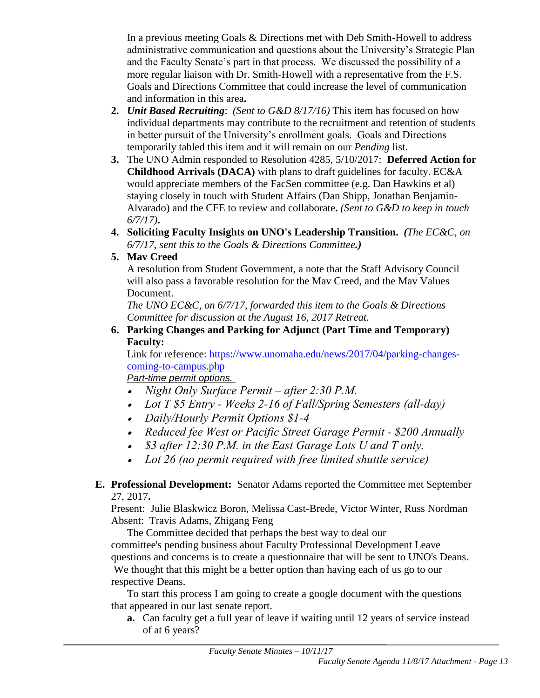In a previous meeting Goals & Directions met with Deb Smith-Howell to address administrative communication and questions about the University's Strategic Plan and the Faculty Senate's part in that process. We discussed the possibility of a more regular liaison with Dr. Smith-Howell with a representative from the F.S. Goals and Directions Committee that could increase the level of communication and information in this area**.**

- **2.** *Unit Based Recruiting*: *(Sent to G&D 8/17/16)* This item has focused on how individual departments may contribute to the recruitment and retention of students in better pursuit of the University's enrollment goals. Goals and Directions temporarily tabled this item and it will remain on our *Pending* list.
- **3.** The UNO Admin responded to Resolution 4285, 5/10/2017: **Deferred Action for Childhood Arrivals (DACA)** with plans to draft guidelines for faculty. EC&A would appreciate members of the FacSen committee (e.g. Dan Hawkins et al) staying closely in touch with Student Affairs (Dan Shipp, Jonathan Benjamin-Alvarado) and the CFE to review and collaborate**.** *(Sent to G&D to keep in touch 6/7/17)***.**
- **4. Soliciting Faculty Insights on UNO's Leadership Transition.** *(The EC&C, on 6/7/17, sent this to the Goals & Directions Committee.)*
- **5. Mav Creed**

A resolution from Student Government, a note that the Staff Advisory Council will also pass a favorable resolution for the Mav Creed, and the Mav Values Document.

*The UNO EC&C, on 6/7/17, forwarded this item to the Goals & Directions Committee for discussion at the August 16, 2017 Retreat.*

**6. Parking Changes and Parking for Adjunct (Part Time and Temporary) Faculty:**

Link for reference: [https://www.unomaha.edu/news/2017/04/parking-changes](https://www.unomaha.edu/news/2017/04/parking-changes-coming-to-campus.php)[coming-to-campus.php](https://www.unomaha.edu/news/2017/04/parking-changes-coming-to-campus.php)

*Part-time permit options.*

- *Night Only Surface Permit – after 2:30 P.M.*
- *Lot T \$5 Entry - Weeks 2-16 of Fall/Spring Semesters (all-day)*
- *Daily/Hourly Permit Options \$1-4*
- *Reduced fee West or Pacific Street Garage Permit - \$200 Annually*
- *\$3 after 12:30 P.M. in the East Garage Lots U and T only.*
- *Lot 26 (no permit required with free limited shuttle service)*

# **E. Professional Development:** Senator Adams reported the Committee met September 27, 2017**.**

Present: Julie Blaskwicz Boron, Melissa Cast-Brede, Victor Winter, Russ Nordman Absent: Travis Adams, Zhigang Feng

The Committee decided that perhaps the best way to deal our committee's pending business about Faculty Professional Development Leave questions and concerns is to create a questionnaire that will be sent to UNO's Deans. We thought that this might be a better option than having each of us go to our respective Deans.

To start this process I am going to create a google document with the questions that appeared in our last senate report.

**a.** Can faculty get a full year of leave if waiting until 12 years of service instead of at 6 years?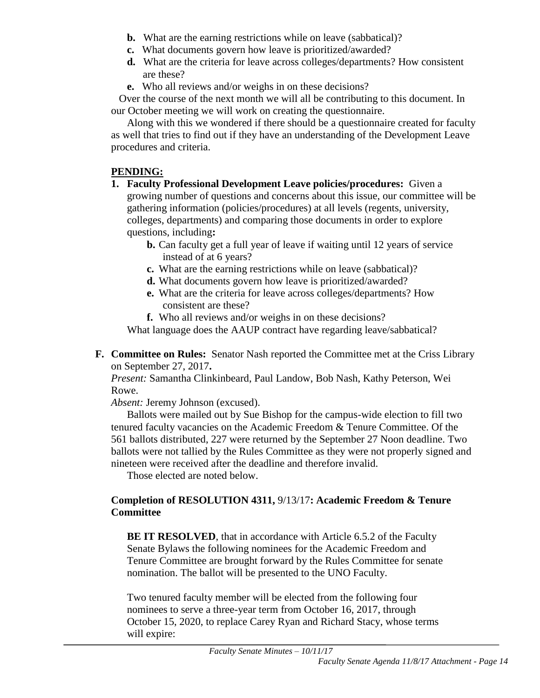- **b.** What are the earning restrictions while on leave (sabbatical)?
- **c.** What documents govern how leave is prioritized/awarded?
- **d.** What are the criteria for leave across colleges/departments? How consistent are these?
- **e.** Who all reviews and/or weighs in on these decisions?

Over the course of the next month we will all be contributing to this document. In our October meeting we will work on creating the questionnaire.

Along with this we wondered if there should be a questionnaire created for faculty as well that tries to find out if they have an understanding of the Development Leave procedures and criteria.

# **PENDING:**

- **1. Faculty Professional Development Leave policies/procedures:** Given a growing number of questions and concerns about this issue, our committee will be gathering information (policies/procedures) at all levels (regents, university, colleges, departments) and comparing those documents in order to explore questions, including**:** 
	- **b.** Can faculty get a full year of leave if waiting until 12 years of service instead of at 6 years?
	- **c.** What are the earning restrictions while on leave (sabbatical)?
	- **d.** What documents govern how leave is prioritized/awarded?
	- **e.** What are the criteria for leave across colleges/departments? How consistent are these?
	- **f.** Who all reviews and/or weighs in on these decisions?

What language does the AAUP contract have regarding leave/sabbatical?

**F. Committee on Rules:** Senator Nash reported the Committee met at the Criss Library on September 27, 2017**.**

*Present:* Samantha Clinkinbeard, Paul Landow, Bob Nash, Kathy Peterson, Wei Rowe.

*Absent:* Jeremy Johnson (excused).

Ballots were mailed out by Sue Bishop for the campus-wide election to fill two tenured faculty vacancies on the Academic Freedom & Tenure Committee. Of the 561 ballots distributed, 227 were returned by the September 27 Noon deadline. Two ballots were not tallied by the Rules Committee as they were not properly signed and nineteen were received after the deadline and therefore invalid.

Those elected are noted below.

# **Completion of RESOLUTION 4311,** 9/13/17**: Academic Freedom & Tenure Committee**

**BE IT RESOLVED**, that in accordance with Article 6.5.2 of the Faculty Senate Bylaws the following nominees for the Academic Freedom and Tenure Committee are brought forward by the Rules Committee for senate nomination. The ballot will be presented to the UNO Faculty.

Two tenured faculty member will be elected from the following four nominees to serve a three-year term from October 16, 2017, through October 15, 2020, to replace Carey Ryan and Richard Stacy, whose terms will expire: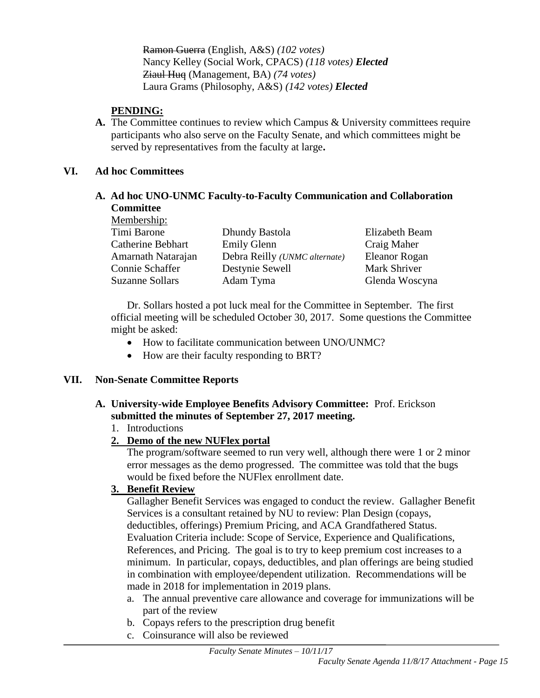Ramon Guerra (English, A&S) *(102 votes)* Nancy Kelley (Social Work, CPACS) *(118 votes) Elected* Ziaul Huq (Management, BA) *(74 votes)*  Laura Grams (Philosophy, A&S) *(142 votes) Elected*

#### **PENDING:**

**A.** The Committee continues to review which Campus & University committees require participants who also serve on the Faculty Senate, and which committees might be served by representatives from the faculty at large**.** 

#### **VI. Ad hoc Committees**

#### **A. Ad hoc UNO-UNMC Faculty-to-Faculty Communication and Collaboration Committee**

| Membership:              |                                       |                |
|--------------------------|---------------------------------------|----------------|
| Timi Barone              | Dhundy Bastola                        | Elizabeth Beam |
| <b>Catherine Bebhart</b> | <b>Emily Glenn</b>                    | Craig Maher    |
| Amarnath Natarajan       | Debra Reilly ( <i>UNMC</i> alternate) | Eleanor Rogan  |
| Connie Schaffer          | Destynie Sewell                       | Mark Shriver   |
| <b>Suzanne Sollars</b>   | Adam Tyma                             | Glenda Woscyna |

Dr. Sollars hosted a pot luck meal for the Committee in September. The first official meeting will be scheduled October 30, 2017. Some questions the Committee might be asked:

- How to facilitate communication between UNO/UNMC?
- How are their faculty responding to BRT?

### **VII. Non-Senate Committee Reports**

### **A. University-wide Employee Benefits Advisory Committee:** Prof. Erickson **submitted the minutes of September 27, 2017 meeting.**

- 1. Introductions
- **2. Demo of the new NUFlex portal**

The program/software seemed to run very well, although there were 1 or 2 minor error messages as the demo progressed. The committee was told that the bugs would be fixed before the NUFlex enrollment date.

### **3. Benefit Review**

Gallagher Benefit Services was engaged to conduct the review. Gallagher Benefit Services is a consultant retained by NU to review: Plan Design (copays, deductibles, offerings) Premium Pricing, and ACA Grandfathered Status. Evaluation Criteria include: Scope of Service, Experience and Qualifications, References, and Pricing. The goal is to try to keep premium cost increases to a minimum. In particular, copays, deductibles, and plan offerings are being studied in combination with employee/dependent utilization. Recommendations will be made in 2018 for implementation in 2019 plans.

- a. The annual preventive care allowance and coverage for immunizations will be part of the review
- b. Copays refers to the prescription drug benefit
- c. Coinsurance will also be reviewed